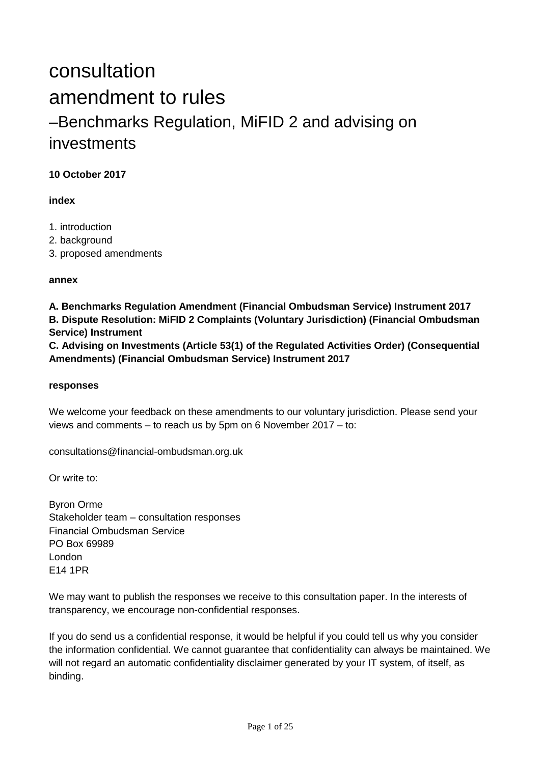# consultation amendment to rules –Benchmarks Regulation, MiFID 2 and advising on investments

## **10 October 2017**

### **index**

- 1. introduction
- 2. background
- 3. proposed amendments

### **annex**

**A. Benchmarks Regulation Amendment (Financial Ombudsman Service) Instrument 2017 B. Dispute Resolution: MiFID 2 Complaints (Voluntary Jurisdiction) (Financial Ombudsman Service) Instrument** 

**C. Advising on Investments (Article 53(1) of the Regulated Activities Order) (Consequential Amendments) (Financial Ombudsman Service) Instrument 2017**

### **responses**

We welcome your feedback on these amendments to our voluntary jurisdiction. Please send your views and comments – to reach us by 5pm on 6 November 2017 – to:

consultations@financial-ombudsman.org.uk

Or write to:

Byron Orme Stakeholder team – consultation responses Financial Ombudsman Service PO Box 69989 London E14 1PR

We may want to publish the responses we receive to this consultation paper. In the interests of transparency, we encourage non-confidential responses.

If you do send us a confidential response, it would be helpful if you could tell us why you consider the information confidential. We cannot guarantee that confidentiality can always be maintained. We will not regard an automatic confidentiality disclaimer generated by your IT system, of itself, as binding.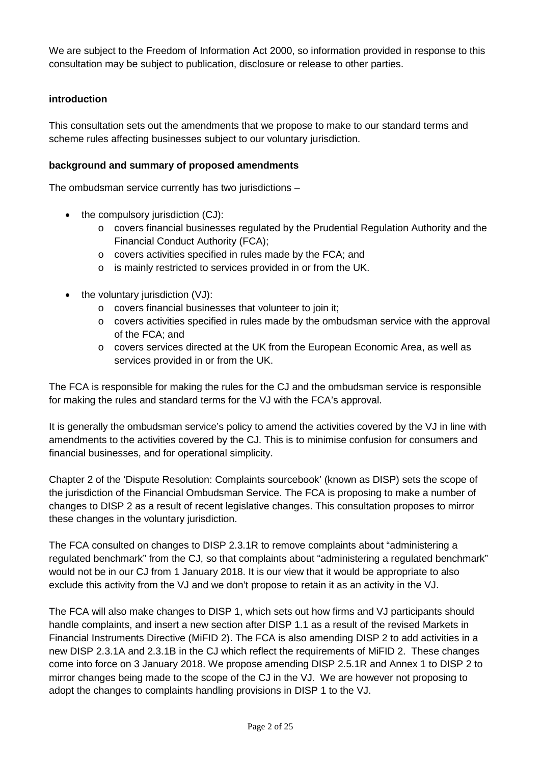We are subject to the Freedom of Information Act 2000, so information provided in response to this consultation may be subject to publication, disclosure or release to other parties.

### **introduction**

This consultation sets out the amendments that we propose to make to our standard terms and scheme rules affecting businesses subject to our voluntary jurisdiction.

### **background and summary of proposed amendments**

The ombudsman service currently has two jurisdictions –

- the compulsory jurisdiction (CJ):
	- o covers financial businesses regulated by the Prudential Regulation Authority and the Financial Conduct Authority (FCA);
	- o covers activities specified in rules made by the FCA; and
	- o is mainly restricted to services provided in or from the UK.
- the voluntary jurisdiction (VJ):
	- o covers financial businesses that volunteer to join it;
	- o covers activities specified in rules made by the ombudsman service with the approval of the FCA; and
	- o covers services directed at the UK from the European Economic Area, as well as services provided in or from the UK.

The FCA is responsible for making the rules for the CJ and the ombudsman service is responsible for making the rules and standard terms for the VJ with the FCA's approval.

It is generally the ombudsman service's policy to amend the activities covered by the VJ in line with amendments to the activities covered by the CJ. This is to minimise confusion for consumers and financial businesses, and for operational simplicity.

Chapter 2 of the 'Dispute Resolution: Complaints sourcebook' (known as DISP) sets the scope of the jurisdiction of the Financial Ombudsman Service. The FCA is proposing to make a number of changes to DISP 2 as a result of recent legislative changes. This consultation proposes to mirror these changes in the voluntary jurisdiction.

The FCA consulted on changes to DISP 2.3.1R to remove complaints about "administering a regulated benchmark" from the CJ, so that complaints about "administering a regulated benchmark" would not be in our CJ from 1 January 2018. It is our view that it would be appropriate to also exclude this activity from the VJ and we don't propose to retain it as an activity in the VJ.

The FCA will also make changes to DISP 1, which sets out how firms and VJ participants should handle complaints, and insert a new section after DISP 1.1 as a result of the revised Markets in Financial Instruments Directive (MiFID 2). The FCA is also amending DISP 2 to add activities in a new DISP 2.3.1A and 2.3.1B in the CJ which reflect the requirements of MiFID 2. These changes come into force on 3 January 2018. We propose amending DISP 2.5.1R and Annex 1 to DISP 2 to mirror changes being made to the scope of the CJ in the VJ. We are however not proposing to adopt the changes to complaints handling provisions in DISP 1 to the VJ.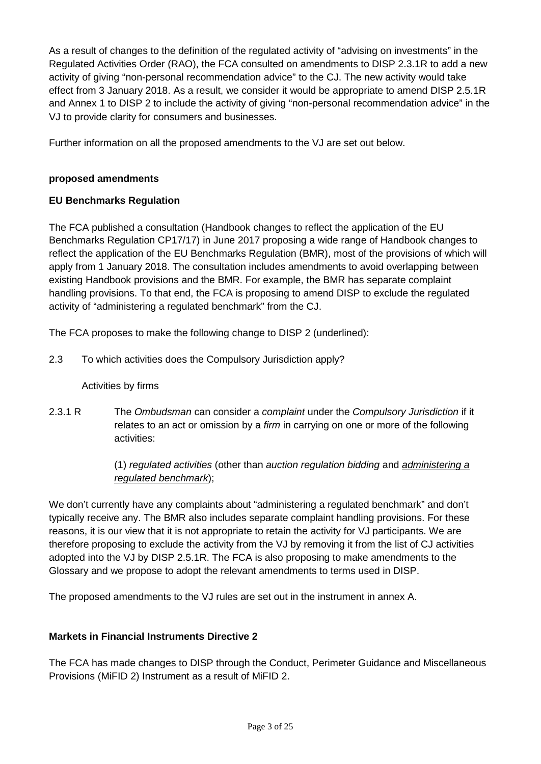As a result of changes to the definition of the regulated activity of "advising on investments" in the Regulated Activities Order (RAO), the FCA consulted on amendments to DISP 2.3.1R to add a new activity of giving "non-personal recommendation advice" to the CJ. The new activity would take effect from 3 January 2018. As a result, we consider it would be appropriate to amend DISP 2.5.1R and Annex 1 to DISP 2 to include the activity of giving "non-personal recommendation advice" in the VJ to provide clarity for consumers and businesses.

Further information on all the proposed amendments to the VJ are set out below.

### **proposed amendments**

### **EU Benchmarks Regulation**

The FCA published a consultation (Handbook changes to reflect the application of the EU Benchmarks Regulation CP17/17) in June 2017 proposing a wide range of Handbook changes to reflect the application of the EU Benchmarks Regulation (BMR), most of the provisions of which will apply from 1 January 2018. The consultation includes amendments to avoid overlapping between existing Handbook provisions and the BMR. For example, the BMR has separate complaint handling provisions. To that end, the FCA is proposing to amend DISP to exclude the regulated activity of "administering a regulated benchmark" from the CJ.

The FCA proposes to make the following change to DISP 2 (underlined):

2.3 To which activities does the Compulsory Jurisdiction apply?

### Activities by firms

2.3.1 R The *Ombudsman* can consider a *complaint* under the *Compulsory Jurisdiction* if it relates to an act or omission by a *firm* in carrying on one or more of the following activities:

> (1) *regulated activities* (other than *auction regulation bidding* and *administering a regulated benchmark*);

We don't currently have any complaints about "administering a regulated benchmark" and don't typically receive any. The BMR also includes separate complaint handling provisions. For these reasons, it is our view that it is not appropriate to retain the activity for VJ participants. We are therefore proposing to exclude the activity from the VJ by removing it from the list of CJ activities adopted into the VJ by DISP 2.5.1R. The FCA is also proposing to make amendments to the Glossary and we propose to adopt the relevant amendments to terms used in DISP.

The proposed amendments to the VJ rules are set out in the instrument in annex A.

### **Markets in Financial Instruments Directive 2**

The FCA has made changes to DISP through the Conduct, Perimeter Guidance and Miscellaneous Provisions (MiFID 2) Instrument as a result of MiFID 2.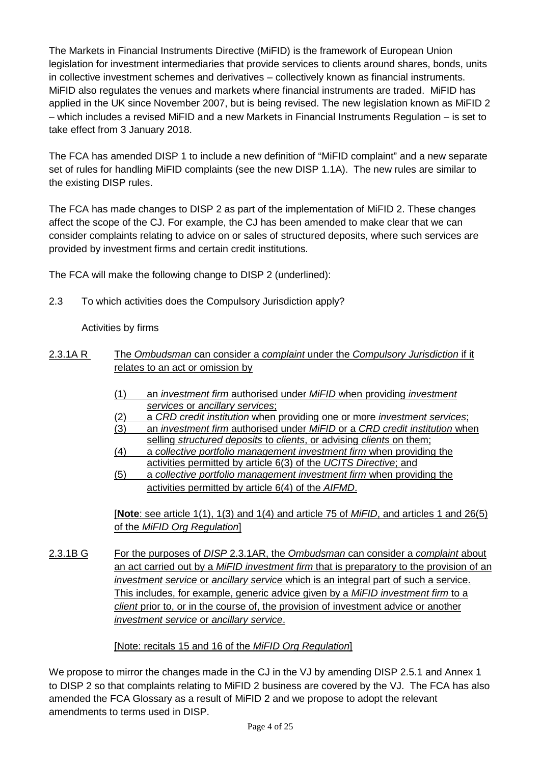The Markets in Financial Instruments Directive (MiFID) is the framework of European Union legislation for investment intermediaries that provide services to clients around shares, bonds, units in collective investment schemes and derivatives – collectively known as financial instruments. MiFID also regulates the venues and markets where financial instruments are traded. MiFID has applied in the UK since November 2007, but is being revised. The new legislation known as MiFID 2 – which includes a revised MiFID and a new Markets in Financial Instruments Regulation – is set to take effect from 3 January 2018.

The FCA has amended DISP 1 to include a new definition of "MiFID complaint" and a new separate set of rules for handling MiFID complaints (see the new DISP 1.1A). The new rules are similar to the existing DISP rules.

The FCA has made changes to DISP 2 as part of the implementation of MiFID 2. These changes affect the scope of the CJ. For example, the CJ has been amended to make clear that we can consider complaints relating to advice on or sales of structured deposits, where such services are provided by investment firms and certain credit institutions.

The FCA will make the following change to DISP 2 (underlined):

2.3 To which activities does the Compulsory Jurisdiction apply?

Activities by firms

- 2.3.1A R The *Ombudsman* can consider a *complaint* under the *Compulsory Jurisdiction* if it relates to an act or omission by
	- (1) an *investment firm* authorised under *MiFID* when providing *investment services* or *ancillary services*;
	- (2) a *CRD credit institution* when providing one or more *investment services*;
	- (3) an *investment firm* authorised under *MiFID* or a *CRD credit institution* when
	- selling *structured deposits* to *clients*, or advising *clients* on them; (4) a *collective portfolio management investment firm* when providing the
	- activities permitted by article 6(3) of the *UCITS Directive*; and (5) a *collective portfolio management investment firm* when providing the activities permitted by article 6(4) of the *AIFMD*.

[**Note**: see article 1(1), 1(3) and 1(4) and article 75 of *MiFID*, and articles 1 and 26(5) of the *MiFID Org Regulation*]

2.3.1B G For the purposes of *DISP* 2.3.1AR, the *Ombudsman* can consider a *complaint* about an act carried out by a *MiFID investment firm* that is preparatory to the provision of an *investment service* or *ancillary service* which is an integral part of such a service. This includes, for example, generic advice given by a *MiFID investment firm* to a *client* prior to, or in the course of, the provision of investment advice or another *investment service* or *ancillary service*.

### [Note: recitals 15 and 16 of the *MiFID Org Regulation*]

We propose to mirror the changes made in the CJ in the VJ by amending DISP 2.5.1 and Annex 1 to DISP 2 so that complaints relating to MiFID 2 business are covered by the VJ. The FCA has also amended the FCA Glossary as a result of MiFID 2 and we propose to adopt the relevant amendments to terms used in DISP.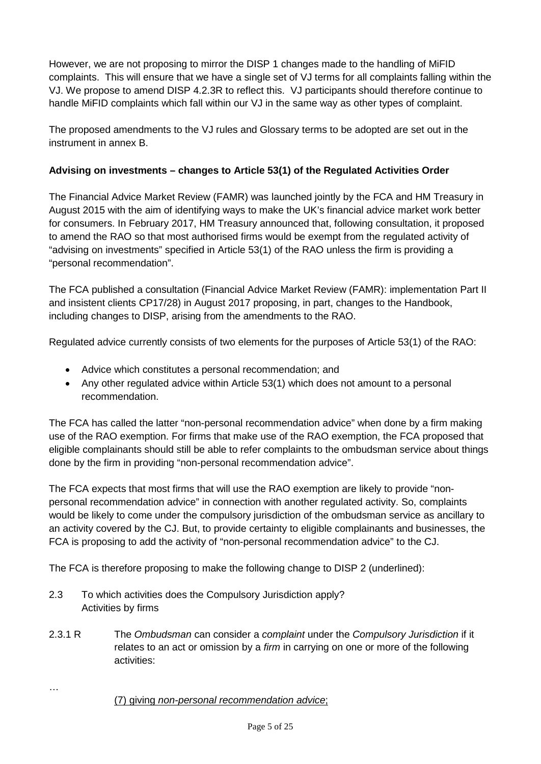However, we are not proposing to mirror the DISP 1 changes made to the handling of MiFID complaints. This will ensure that we have a single set of VJ terms for all complaints falling within the VJ. We propose to amend DISP 4.2.3R to reflect this. VJ participants should therefore continue to handle MiFID complaints which fall within our VJ in the same way as other types of complaint.

The proposed amendments to the VJ rules and Glossary terms to be adopted are set out in the instrument in annex B.

## **Advising on investments – changes to Article 53(1) of the Regulated Activities Order**

The Financial Advice Market Review (FAMR) was launched jointly by the FCA and HM Treasury in August 2015 with the aim of identifying ways to make the UK's financial advice market work better for consumers. In February 2017, HM Treasury announced that, following consultation, it proposed to amend the RAO so that most authorised firms would be exempt from the regulated activity of "advising on investments" specified in Article 53(1) of the RAO unless the firm is providing a "personal recommendation".

The FCA published a consultation (Financial Advice Market Review (FAMR): implementation Part II and insistent clients CP17/28) in August 2017 proposing, in part, changes to the Handbook, including changes to DISP, arising from the amendments to the RAO.

Regulated advice currently consists of two elements for the purposes of Article 53(1) of the RAO:

- Advice which constitutes a personal recommendation; and
- Any other regulated advice within Article 53(1) which does not amount to a personal recommendation.

The FCA has called the latter "non-personal recommendation advice" when done by a firm making use of the RAO exemption. For firms that make use of the RAO exemption, the FCA proposed that eligible complainants should still be able to refer complaints to the ombudsman service about things done by the firm in providing "non-personal recommendation advice".

The FCA expects that most firms that will use the RAO exemption are likely to provide "nonpersonal recommendation advice" in connection with another regulated activity. So, complaints would be likely to come under the compulsory jurisdiction of the ombudsman service as ancillary to an activity covered by the CJ. But, to provide certainty to eligible complainants and businesses, the FCA is proposing to add the activity of "non-personal recommendation advice" to the CJ.

The FCA is therefore proposing to make the following change to DISP 2 (underlined):

- 2.3 To which activities does the Compulsory Jurisdiction apply? Activities by firms
- 2.3.1 R The *Ombudsman* can consider a *complaint* under the *Compulsory Jurisdiction* if it relates to an act or omission by a *firm* in carrying on one or more of the following activities:
	- (7) giving *non-personal recommendation advice*;

…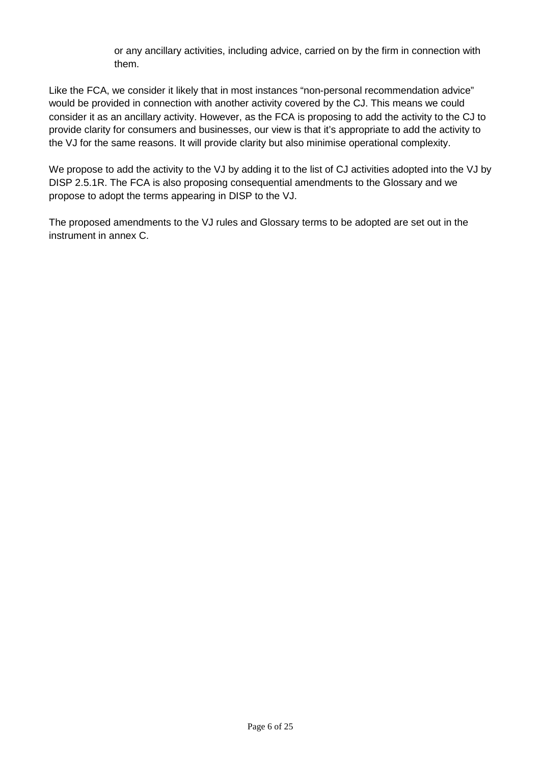or any ancillary activities, including advice, carried on by the firm in connection with them.

Like the FCA, we consider it likely that in most instances "non-personal recommendation advice" would be provided in connection with another activity covered by the CJ. This means we could consider it as an ancillary activity. However, as the FCA is proposing to add the activity to the CJ to provide clarity for consumers and businesses, our view is that it's appropriate to add the activity to the VJ for the same reasons. It will provide clarity but also minimise operational complexity.

We propose to add the activity to the VJ by adding it to the list of CJ activities adopted into the VJ by DISP 2.5.1R. The FCA is also proposing consequential amendments to the Glossary and we propose to adopt the terms appearing in DISP to the VJ.

The proposed amendments to the VJ rules and Glossary terms to be adopted are set out in the instrument in annex C.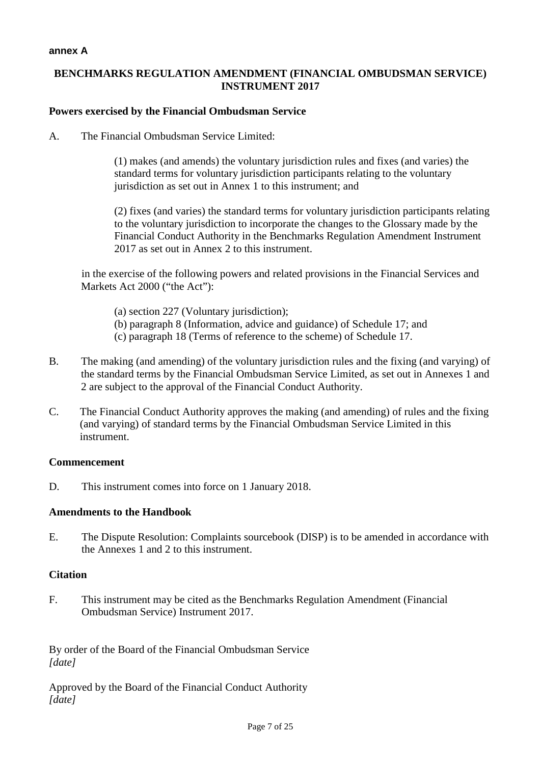### **annex A**

### **BENCHMARKS REGULATION AMENDMENT (FINANCIAL OMBUDSMAN SERVICE) INSTRUMENT 2017**

### **Powers exercised by the Financial Ombudsman Service**

A. The Financial Ombudsman Service Limited:

(1) makes (and amends) the voluntary jurisdiction rules and fixes (and varies) the standard terms for voluntary jurisdiction participants relating to the voluntary jurisdiction as set out in Annex 1 to this instrument; and

(2) fixes (and varies) the standard terms for voluntary jurisdiction participants relating to the voluntary jurisdiction to incorporate the changes to the Glossary made by the Financial Conduct Authority in the Benchmarks Regulation Amendment Instrument 2017 as set out in Annex 2 to this instrument.

in the exercise of the following powers and related provisions in the Financial Services and Markets Act 2000 ("the Act"):

- (a) section 227 (Voluntary jurisdiction);
- (b) paragraph 8 (Information, advice and guidance) of Schedule 17; and
- (c) paragraph 18 (Terms of reference to the scheme) of Schedule 17.
- B. The making (and amending) of the voluntary jurisdiction rules and the fixing (and varying) of the standard terms by the Financial Ombudsman Service Limited, as set out in Annexes 1 and 2 are subject to the approval of the Financial Conduct Authority.
- C. The Financial Conduct Authority approves the making (and amending) of rules and the fixing (and varying) of standard terms by the Financial Ombudsman Service Limited in this instrument.

### **Commencement**

D. This instrument comes into force on 1 January 2018.

### **Amendments to the Handbook**

E. The Dispute Resolution: Complaints sourcebook (DISP) is to be amended in accordance with the Annexes 1 and 2 to this instrument.

#### **Citation**

F. This instrument may be cited as the Benchmarks Regulation Amendment (Financial Ombudsman Service) Instrument 2017.

By order of the Board of the Financial Ombudsman Service *[date]*

Approved by the Board of the Financial Conduct Authority *[date]*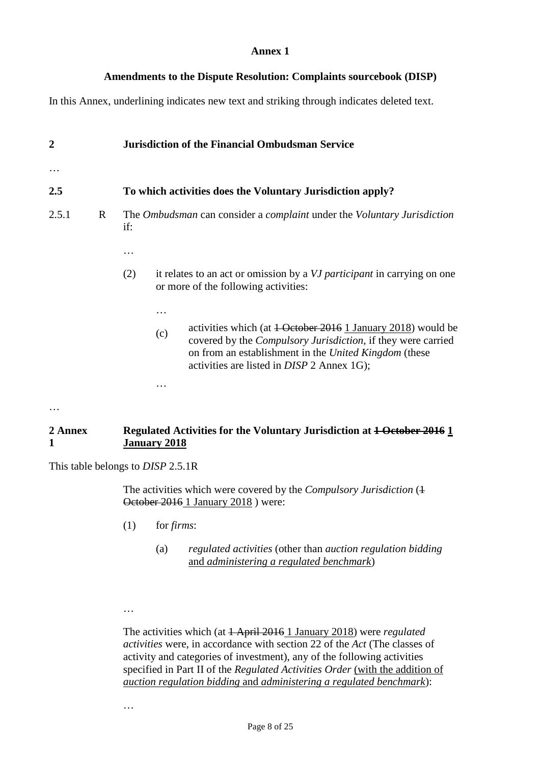### **Amendments to the Dispute Resolution: Complaints sourcebook (DISP)**

In this Annex, underlining indicates new text and striking through indicates deleted text.

| $\overline{2}$ |   | <b>Jurisdiction of the Financial Ombudsman Service</b>                                                                                                                                                                                                                                                                                                                      |  |  |
|----------------|---|-----------------------------------------------------------------------------------------------------------------------------------------------------------------------------------------------------------------------------------------------------------------------------------------------------------------------------------------------------------------------------|--|--|
|                |   |                                                                                                                                                                                                                                                                                                                                                                             |  |  |
| 2.5            |   | To which activities does the Voluntary Jurisdiction apply?                                                                                                                                                                                                                                                                                                                  |  |  |
| 2.5.1          | R | The <i>Ombudsman</i> can consider a <i>complaint</i> under the <i>Voluntary Jurisdiction</i><br>if:                                                                                                                                                                                                                                                                         |  |  |
|                |   | it relates to an act or omission by a VJ participant in carrying on one<br>(2)<br>or more of the following activities:<br>activities which (at 1 October 2016 1 January 2018) would be<br>(c)<br>covered by the Compulsory Jurisdiction, if they were carried<br>on from an establishment in the United Kingdom (these<br>activities are listed in <i>DISP</i> 2 Annex 1G); |  |  |
|                |   | ${\bf D}$ . The final state of the state of the state of ${\bf D}$ and ${\bf D}$                                                                                                                                                                                                                                                                                            |  |  |

#### **2 Annex 1 Regulated Activities for the Voluntary Jurisdiction at 1 October 2016 1 January 2018**

This table belongs to *DISP* 2.5.1R

The activities which were covered by the *Compulsory Jurisdiction* (+ October 2016 1 January 2018 ) were:

- (1) for *firms*:
	- (a) *regulated activities* (other than *auction regulation bidding* and *administering a regulated benchmark*)
- …

The activities which (at 1 April 2016 1 January 2018) were *regulated activities* were, in accordance with section 22 of the *Act* (The classes of activity and categories of investment), any of the following activities specified in Part II of the *Regulated Activities Order* (with the addition of *auction regulation bidding* and *administering a regulated benchmark*):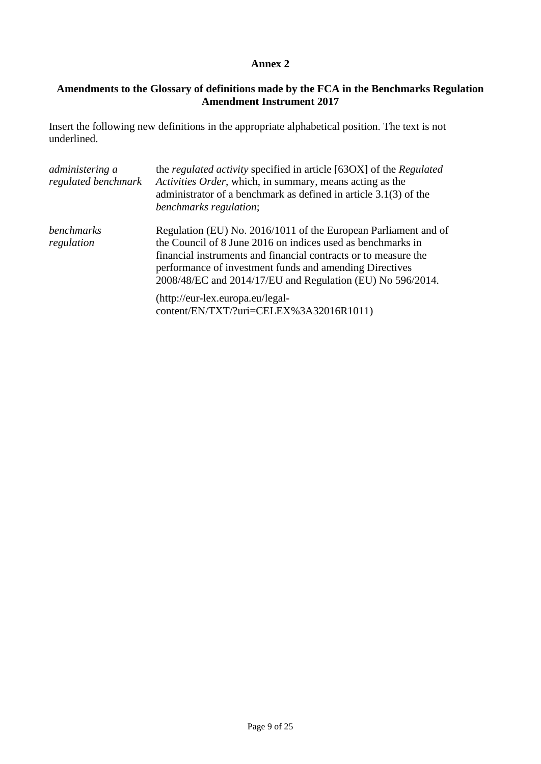# **Amendments to the Glossary of definitions made by the FCA in the Benchmarks Regulation Amendment Instrument 2017**

Insert the following new definitions in the appropriate alphabetical position. The text is not underlined.

| administering a<br>regulated benchmark | the <i>regulated activity</i> specified in article [63OX] of the <i>Regulated</i><br>Activities Order, which, in summary, means acting as the<br>administrator of a benchmark as defined in article $3.1(3)$ of the<br><i>benchmarks regulation;</i>                                                                       |
|----------------------------------------|----------------------------------------------------------------------------------------------------------------------------------------------------------------------------------------------------------------------------------------------------------------------------------------------------------------------------|
| benchmarks<br>regulation               | Regulation (EU) No. 2016/1011 of the European Parliament and of<br>the Council of 8 June 2016 on indices used as benchmarks in<br>financial instruments and financial contracts or to measure the<br>performance of investment funds and amending Directives<br>2008/48/EC and 2014/17/EU and Regulation (EU) No 596/2014. |
|                                        | (http://eur-lex.europa.eu/legal-<br>content/EN/TXT/?uri=CELEX%3A32016R1011)                                                                                                                                                                                                                                                |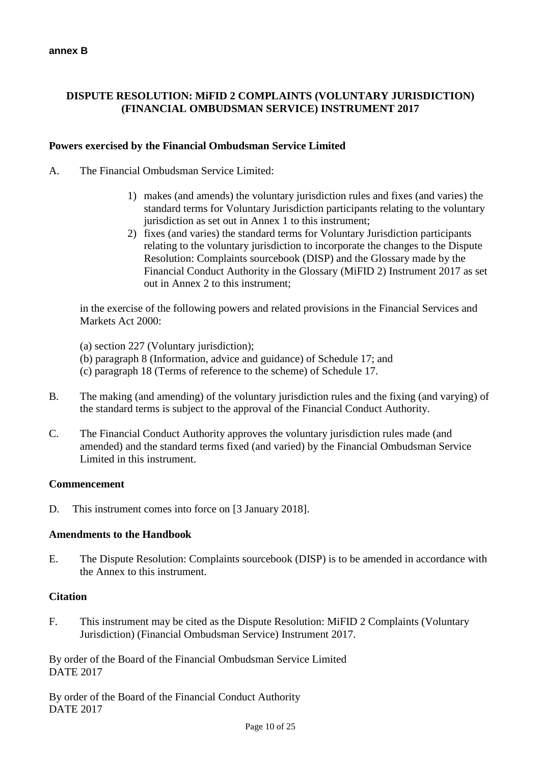# **DISPUTE RESOLUTION: MiFID 2 COMPLAINTS (VOLUNTARY JURISDICTION) (FINANCIAL OMBUDSMAN SERVICE) INSTRUMENT 2017**

### **Powers exercised by the Financial Ombudsman Service Limited**

- A. The Financial Ombudsman Service Limited:
	- 1) makes (and amends) the voluntary jurisdiction rules and fixes (and varies) the standard terms for Voluntary Jurisdiction participants relating to the voluntary jurisdiction as set out in Annex 1 to this instrument;
	- 2) fixes (and varies) the standard terms for Voluntary Jurisdiction participants relating to the voluntary jurisdiction to incorporate the changes to the Dispute Resolution: Complaints sourcebook (DISP) and the Glossary made by the Financial Conduct Authority in the Glossary (MiFID 2) Instrument 2017 as set out in Annex 2 to this instrument;

in the exercise of the following powers and related provisions in the Financial Services and Markets Act 2000:

(a) section 227 (Voluntary jurisdiction);

- (b) paragraph 8 (Information, advice and guidance) of Schedule 17; and
- (c) paragraph 18 (Terms of reference to the scheme) of Schedule 17.
- B. The making (and amending) of the voluntary jurisdiction rules and the fixing (and varying) of the standard terms is subject to the approval of the Financial Conduct Authority.
- C. The Financial Conduct Authority approves the voluntary jurisdiction rules made (and amended) and the standard terms fixed (and varied) by the Financial Ombudsman Service Limited in this instrument.

#### **Commencement**

D. This instrument comes into force on [3 January 2018].

#### **Amendments to the Handbook**

E. The Dispute Resolution: Complaints sourcebook (DISP) is to be amended in accordance with the Annex to this instrument.

#### **Citation**

F. This instrument may be cited as the Dispute Resolution: MiFID 2 Complaints (Voluntary Jurisdiction) (Financial Ombudsman Service) Instrument 2017.

By order of the Board of the Financial Ombudsman Service Limited DATE 2017

By order of the Board of the Financial Conduct Authority DATE 2017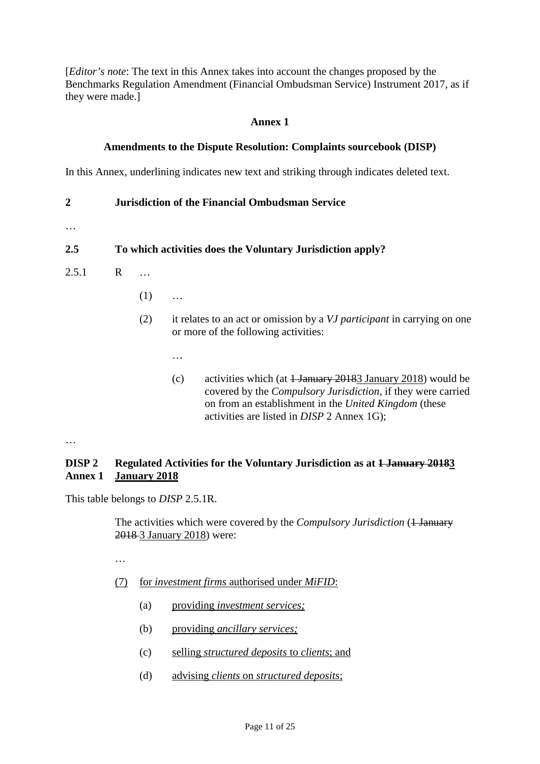[*Editor's note*: The text in this Annex takes into account the changes proposed by the Benchmarks Regulation Amendment (Financial Ombudsman Service) Instrument 2017, as if they were made.]

### **Annex 1**

# **Amendments to the Dispute Resolution: Complaints sourcebook (DISP)**

In this Annex, underlining indicates new text and striking through indicates deleted text.

### **2 Jurisdiction of the Financial Ombudsman Service**

…

### **2.5 To which activities does the Voluntary Jurisdiction apply?**

- 2.5.1 R …
	- $(1)$  ...
	- (2) it relates to an act or omission by a *VJ participant* in carrying on one or more of the following activities:
		- …
		- (c) activities which (at  $\frac{1 \text{ January } 20183 \text{ January } 2018)}{2018}$  would be covered by the *Compulsory Jurisdiction*, if they were carried on from an establishment in the *United Kingdom* (these activities are listed in *DISP* 2 Annex 1G);

…

#### **DISP 2 Annex 1 Regulated Activities for the Voluntary Jurisdiction as at 1 January 20183 January 2018**

This table belongs to *DISP* 2.5.1R.

The activities which were covered by the *Compulsory Jurisdiction* (<del>1 January</del> 2018 3 January 2018) were:

- …
- (7) for *investment firms* authorised under *MiFID*:
	- (a) providing *investment services;*
	- (b) providing *ancillary services;*
	- (c) selling *structured deposits* to *clients*; and
	- (d) advising *clients* on *structured deposits*;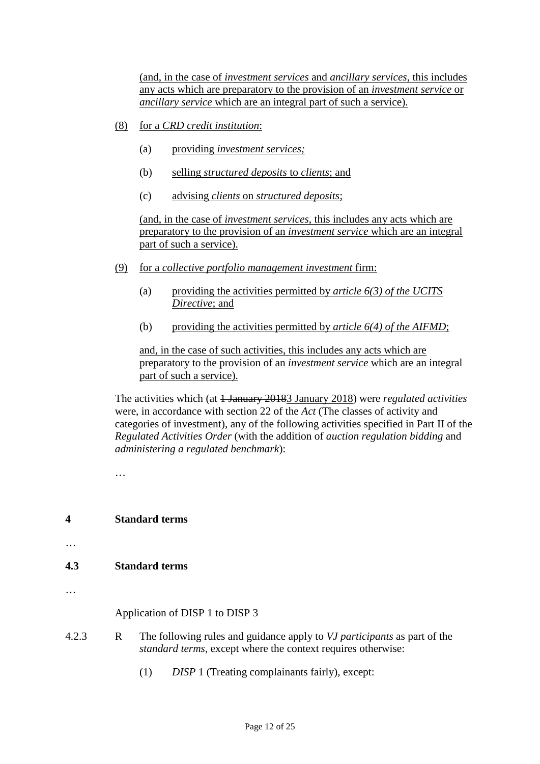(and, in the case of *investment services* and *ancillary services*, this includes any acts which are preparatory to the provision of an *investment service* or *ancillary service* which are an integral part of such a service).

- (8) for a *CRD credit institution*:
	- (a) providing *investment services;*
	- (b) selling *structured deposits* to *clients*; and
	- (c) advising *clients* on *structured deposits*;

(and, in the case of *investment services*, this includes any acts which are preparatory to the provision of an *investment service* which are an integral part of such a service).

- (9) for a *collective portfolio management investment* firm:
	- (a) providing the activities permitted by *article 6(3) of the UCITS Directive*; and
	- (b) providing the activities permitted by *article 6(4) of the AIFMD*;

and, in the case of such activities, this includes any acts which are preparatory to the provision of an *investment service* which are an integral part of such a service).

The activities which (at <del>1 January 2018</del>3 January 2018) were *regulated activities* were, in accordance with section 22 of the *Act* (The classes of activity and categories of investment), any of the following activities specified in Part II of the *Regulated Activities Order* (with the addition of *auction regulation bidding* and *administering a regulated benchmark*):

…

### **4 Standard terms**

…

### **4.3 Standard terms**

…

Application of DISP 1 to DISP 3

- 4.2.3 R The following rules and guidance apply to *VJ participants* as part of the *standard terms*, except where the context requires otherwise:
	- (1) *DISP* 1 (Treating complainants fairly), except: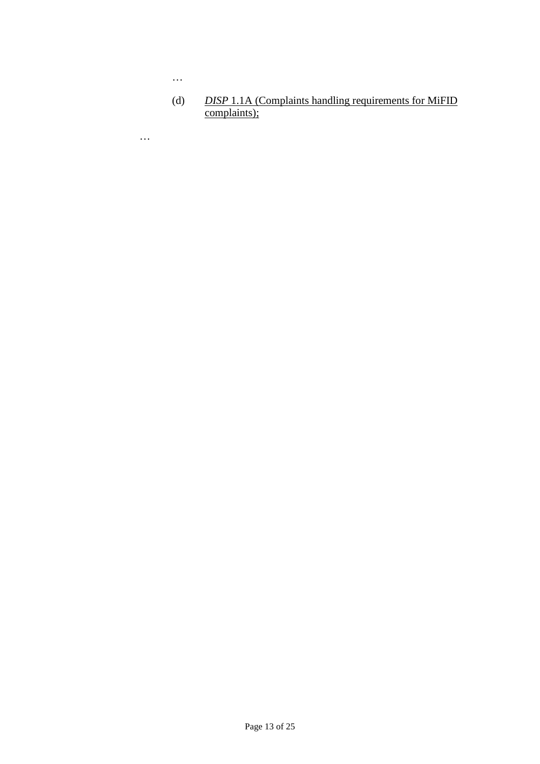(d) *DISP* 1.1A (Complaints handling requirements for MiFID complaints);

…

…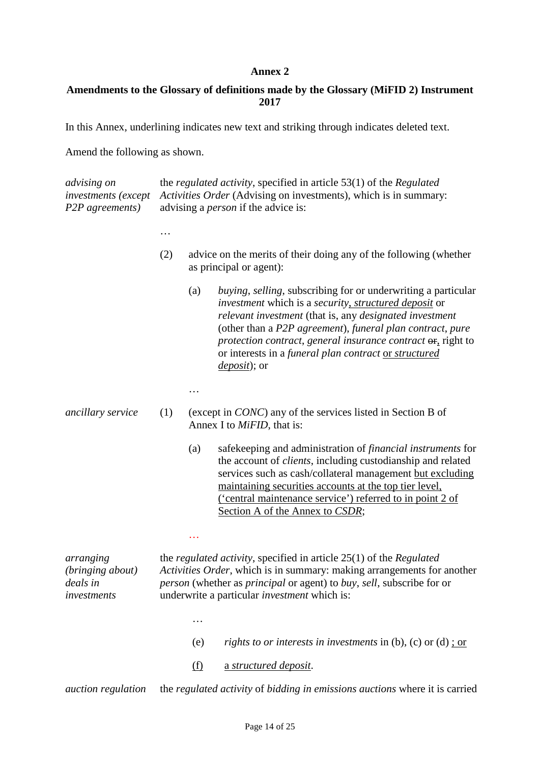### **Amendments to the Glossary of definitions made by the Glossary (MiFID 2) Instrument 2017**

In this Annex, underlining indicates new text and striking through indicates deleted text.

Amend the following as shown.

| <i>advising on</i><br>investments (except<br>P2P agreements) | the <i>regulated activity</i> , specified in article $53(1)$ of the <i>Regulated</i><br>Activities Order (Advising on investments), which is in summary:<br>advising a <i>person</i> if the advice is: |            |                                                                                                                                                                                                                                                                                                                                                                                                                              |
|--------------------------------------------------------------|--------------------------------------------------------------------------------------------------------------------------------------------------------------------------------------------------------|------------|------------------------------------------------------------------------------------------------------------------------------------------------------------------------------------------------------------------------------------------------------------------------------------------------------------------------------------------------------------------------------------------------------------------------------|
|                                                              |                                                                                                                                                                                                        |            |                                                                                                                                                                                                                                                                                                                                                                                                                              |
|                                                              | (2)                                                                                                                                                                                                    |            | advice on the merits of their doing any of the following (whether<br>as principal or agent):                                                                                                                                                                                                                                                                                                                                 |
|                                                              |                                                                                                                                                                                                        | (a)        | <i>buying, selling, subscribing for or underwriting a particular</i><br><i>investment</i> which is a <i>security</i> , <i>structured deposit</i> or<br>relevant investment (that is, any designated investment<br>(other than a P2P agreement), funeral plan contract, pure<br>protection contract, general insurance contract or, right to<br>or interests in a funeral plan contract or structured<br><i>deposit</i> ); or |
|                                                              |                                                                                                                                                                                                        |            |                                                                                                                                                                                                                                                                                                                                                                                                                              |
| <i>ancillary service</i>                                     | (1)                                                                                                                                                                                                    |            | (except in <i>CONC</i> ) any of the services listed in Section B of<br>Annex I to <i>MiFID</i> , that is:                                                                                                                                                                                                                                                                                                                    |
|                                                              |                                                                                                                                                                                                        | (a)        | safekeeping and administration of <i>financial instruments</i> for<br>the account of <i>clients</i> , including custodianship and related<br>services such as cash/collateral management but excluding<br>maintaining securities accounts at the top tier level,<br><u>('central maintenance service')</u> referred to in point 2 of<br>Section A of the Annex to CSDR;                                                      |
|                                                              |                                                                                                                                                                                                        |            |                                                                                                                                                                                                                                                                                                                                                                                                                              |
| arranging<br>(bringing about)<br>deals in<br>investments     |                                                                                                                                                                                                        |            | the <i>regulated activity</i> , specified in article $25(1)$ of the <i>Regulated</i><br>Activities Order, which is in summary: making arrangements for another<br>person (whether as principal or agent) to buy, sell, subscribe for or<br>underwrite a particular <i>investment</i> which is:                                                                                                                               |
|                                                              |                                                                                                                                                                                                        | .          |                                                                                                                                                                                                                                                                                                                                                                                                                              |
|                                                              |                                                                                                                                                                                                        | (e)        | rights to or interests in investments in $(b)$ , $(c)$ or $(d)$ ; or                                                                                                                                                                                                                                                                                                                                                         |
|                                                              |                                                                                                                                                                                                        | <u>(f)</u> | a structured deposit.                                                                                                                                                                                                                                                                                                                                                                                                        |
| <i>auction regulation</i>                                    |                                                                                                                                                                                                        |            | the regulated activity of bidding in emissions auctions where it is carried                                                                                                                                                                                                                                                                                                                                                  |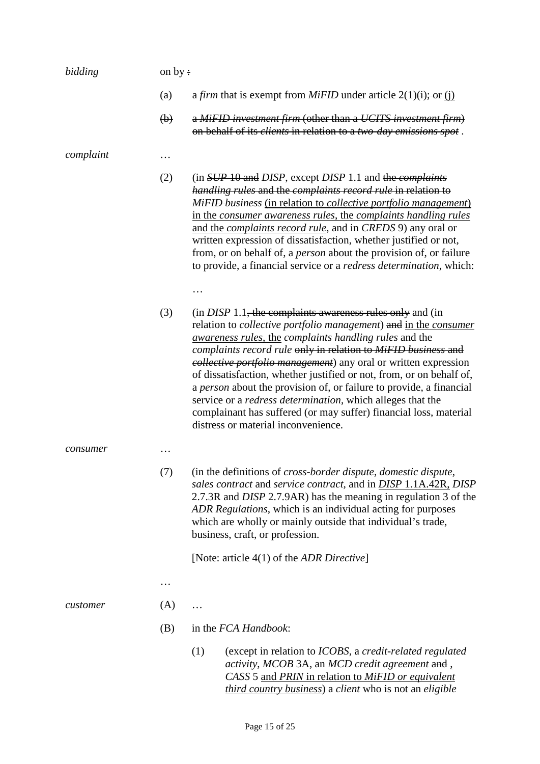| bidding   | on by:                    |     |                                                                                                                                                                                                                                                                                                                                                                                                                                                                                                                                                                                                                                                                                                     |
|-----------|---------------------------|-----|-----------------------------------------------------------------------------------------------------------------------------------------------------------------------------------------------------------------------------------------------------------------------------------------------------------------------------------------------------------------------------------------------------------------------------------------------------------------------------------------------------------------------------------------------------------------------------------------------------------------------------------------------------------------------------------------------------|
|           | (a)                       |     | a <i>firm</i> that is exempt from <i>MiFID</i> under article $2(1)(\mathbf{i})$ ; or $(\mathbf{i})$                                                                                                                                                                                                                                                                                                                                                                                                                                                                                                                                                                                                 |
|           | $\left(\mathbf{b}\right)$ |     | a MiFID investment firm (other than a UCITS investment firm)<br>on behalf of its clients in relation to a two day emissions spot.                                                                                                                                                                                                                                                                                                                                                                                                                                                                                                                                                                   |
| complaint | .                         |     |                                                                                                                                                                                                                                                                                                                                                                                                                                                                                                                                                                                                                                                                                                     |
|           | (2)                       |     | (in SUP 10 and DISP, except DISP 1.1 and the <i>complaints</i><br>handling rules and the complaints record rule in relation to<br>MiFID business (in relation to collective portfolio management)<br>in the consumer awareness rules, the complaints handling rules<br>and the <i>complaints record rule</i> , and in <i>CREDS</i> 9) any oral or<br>written expression of dissatisfaction, whether justified or not,<br>from, or on behalf of, a <i>person</i> about the provision of, or failure<br>to provide, a financial service or a <i>redress determination</i> , which:                                                                                                                    |
|           |                           |     |                                                                                                                                                                                                                                                                                                                                                                                                                                                                                                                                                                                                                                                                                                     |
|           | (3)                       |     | $(in$ <i>DISP</i> 1.1, the complaints awareness rules only and (in<br>relation to <i>collective portfolio management</i> ) and in the <i>consumer</i><br><i>awareness rules, the complaints handling rules and the</i><br>complaints record rule only in relation to MiFID business and<br><i>eollective portfolio management</i> ) any oral or written expression<br>of dissatisfaction, whether justified or not, from, or on behalf of,<br>a person about the provision of, or failure to provide, a financial<br>service or a <i>redress determination</i> , which alleges that the<br>complainant has suffered (or may suffer) financial loss, material<br>distress or material inconvenience. |
| consumer  |                           |     |                                                                                                                                                                                                                                                                                                                                                                                                                                                                                                                                                                                                                                                                                                     |
|           | (7)                       |     | (in the definitions of <i>cross-border dispute</i> , <i>domestic dispute</i> ,<br>sales contract and service contract, and in <b>DISP 1.1A.42R</b> , DISP<br>2.7.3R and <i>DISP</i> 2.7.9AR) has the meaning in regulation 3 of the<br>ADR Regulations, which is an individual acting for purposes<br>which are wholly or mainly outside that individual's trade,<br>business, craft, or profession.                                                                                                                                                                                                                                                                                                |
|           |                           |     | [Note: article $4(1)$ of the <i>ADR Directive</i> ]                                                                                                                                                                                                                                                                                                                                                                                                                                                                                                                                                                                                                                                 |
|           | .                         |     |                                                                                                                                                                                                                                                                                                                                                                                                                                                                                                                                                                                                                                                                                                     |
| customer  | (A)                       | .   |                                                                                                                                                                                                                                                                                                                                                                                                                                                                                                                                                                                                                                                                                                     |
|           | (B)                       |     | in the FCA Handbook:                                                                                                                                                                                                                                                                                                                                                                                                                                                                                                                                                                                                                                                                                |
|           |                           | (1) | (except in relation to ICOBS, a credit-related regulated<br>activity, MCOB 3A, an MCD credit agreement and,<br>CASS 5 and PRIN in relation to MiFID or equivalent<br><i>third country business</i> ) a <i>client</i> who is not an <i>eligible</i>                                                                                                                                                                                                                                                                                                                                                                                                                                                  |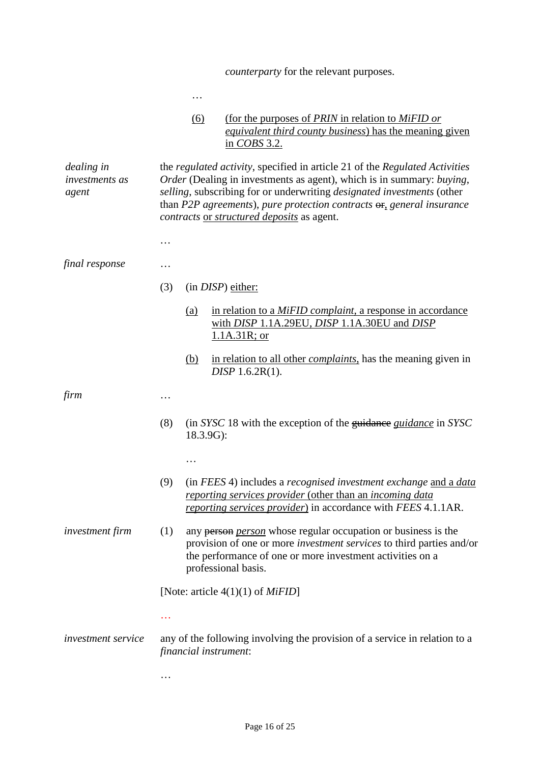|                                              |          |                       | <i>counterparty</i> for the relevant purposes.                                                                                                                                                                                                                                                                                                                              |
|----------------------------------------------|----------|-----------------------|-----------------------------------------------------------------------------------------------------------------------------------------------------------------------------------------------------------------------------------------------------------------------------------------------------------------------------------------------------------------------------|
|                                              |          | $\cdots$              |                                                                                                                                                                                                                                                                                                                                                                             |
|                                              |          | (6)                   | (for the purposes of PRIN in relation to MiFID or<br><i>equivalent third county business)</i> has the meaning given<br>in COBS 3.2.                                                                                                                                                                                                                                         |
| dealing in<br><i>investments as</i><br>agent |          |                       | the <i>regulated activity</i> , specified in article 21 of the <i>Regulated Activities</i><br>Order (Dealing in investments as agent), which is in summary: buying,<br>selling, subscribing for or underwriting designated investments (other<br>than P2P agreements), pure protection contracts $\Theta$ , general insurance<br>contracts or structured deposits as agent. |
|                                              | .        |                       |                                                                                                                                                                                                                                                                                                                                                                             |
| final response                               | .        |                       |                                                                                                                                                                                                                                                                                                                                                                             |
|                                              | (3)      |                       | $(in$ $DISP)$ either:                                                                                                                                                                                                                                                                                                                                                       |
|                                              |          | (a)                   | in relation to a MiFID complaint, a response in accordance<br>with <i>DISP</i> 1.1A.29EU, <i>DISP</i> 1.1A.30EU and <i>DISP</i><br>$1.1A.31R$ ; or                                                                                                                                                                                                                          |
|                                              |          | <u>(b)</u>            | in relation to all other <i>complaints</i> , has the meaning given in<br>DISP 1.6.2R(1).                                                                                                                                                                                                                                                                                    |
| firm                                         | .        |                       |                                                                                                                                                                                                                                                                                                                                                                             |
|                                              | (8)      | 18.3.9G):             | (in SYSC 18 with the exception of the guidance <i>guidance</i> in SYSC                                                                                                                                                                                                                                                                                                      |
|                                              |          | .                     |                                                                                                                                                                                                                                                                                                                                                                             |
|                                              | (9)      |                       | (in FEES 4) includes a recognised investment exchange and a data<br>reporting services provider (other than an incoming data<br>reporting services provider) in accordance with FEES 4.1.1AR.                                                                                                                                                                               |
| <i>investment firm</i>                       | (1)      |                       | any person <i>person</i> whose regular occupation or business is the<br>provision of one or more investment services to third parties and/or<br>the performance of one or more investment activities on a<br>professional basis.                                                                                                                                            |
|                                              |          |                       | [Note: article $4(1)(1)$ of <i>MiFID</i> ]                                                                                                                                                                                                                                                                                                                                  |
|                                              |          |                       |                                                                                                                                                                                                                                                                                                                                                                             |
| <i>investment service</i>                    |          | financial instrument: | any of the following involving the provision of a service in relation to a                                                                                                                                                                                                                                                                                                  |
|                                              | $\cdots$ |                       |                                                                                                                                                                                                                                                                                                                                                                             |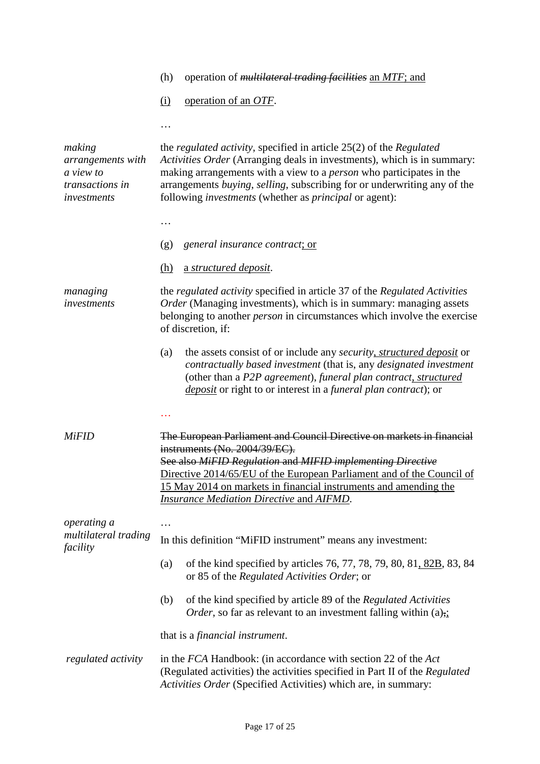| (h) operation of <i>multilateral trading facilities</i> an $MTF$ ; and |  |  |  |  |  |
|------------------------------------------------------------------------|--|--|--|--|--|
|------------------------------------------------------------------------|--|--|--|--|--|

(i) operation of an *OTF*.

…

| making<br>arrangements with<br>a view to<br>transactions in<br>investments | the <i>regulated activity</i> , specified in article 25(2) of the <i>Regulated</i><br>Activities Order (Arranging deals in investments), which is in summary:<br>making arrangements with a view to a <i>person</i> who participates in the<br>arrangements buying, selling, subscribing for or underwriting any of the<br>following <i>investments</i> (whether as <i>principal</i> or agent): |
|----------------------------------------------------------------------------|-------------------------------------------------------------------------------------------------------------------------------------------------------------------------------------------------------------------------------------------------------------------------------------------------------------------------------------------------------------------------------------------------|
|                                                                            |                                                                                                                                                                                                                                                                                                                                                                                                 |
|                                                                            | general insurance contract; or<br>(g)                                                                                                                                                                                                                                                                                                                                                           |
|                                                                            | a structured deposit.<br><u>(h)</u>                                                                                                                                                                                                                                                                                                                                                             |
| managing<br>investments                                                    | the <i>regulated activity</i> specified in article 37 of the <i>Regulated Activities</i><br>Order (Managing investments), which is in summary: managing assets<br>belonging to another <i>person</i> in circumstances which involve the exercise<br>of discretion, if:                                                                                                                          |
|                                                                            | the assets consist of or include any <i>security</i> , <i>structured deposit</i> or<br>(a)<br>contractually based investment (that is, any designated investment<br>(other than a P2P agreement), funeral plan contract, structured<br>deposit or right to or interest in a funeral plan contract); or                                                                                          |
|                                                                            |                                                                                                                                                                                                                                                                                                                                                                                                 |
| <b>MiFID</b>                                                               | The European Parliament and Council Directive on markets in financial<br>instruments (No. 2004/39/EC).<br>See also MiFID Regulation and MIFID implementing Directive<br>Directive 2014/65/EU of the European Parliament and of the Council of<br>15 May 2014 on markets in financial instruments and amending the<br>Insurance Mediation Directive and AIFMD.                                   |
| operating a                                                                |                                                                                                                                                                                                                                                                                                                                                                                                 |
| multilateral trading<br>facility                                           | In this definition "MiFID instrument" means any investment:                                                                                                                                                                                                                                                                                                                                     |
|                                                                            | of the kind specified by articles 76, 77, 78, 79, 80, 81, 82B, 83, 84<br>(a)<br>or 85 of the Regulated Activities Order; or                                                                                                                                                                                                                                                                     |
|                                                                            | of the kind specified by article 89 of the Regulated Activities<br>(b)<br><i>Order</i> , so far as relevant to an investment falling within $(a)_{\overline{2}}$                                                                                                                                                                                                                                |
|                                                                            | that is a <i>financial instrument</i> .                                                                                                                                                                                                                                                                                                                                                         |
| regulated activity                                                         | in the FCA Handbook: (in accordance with section 22 of the Act<br>(Regulated activities) the activities specified in Part II of the Regulated<br>Activities Order (Specified Activities) which are, in summary:                                                                                                                                                                                 |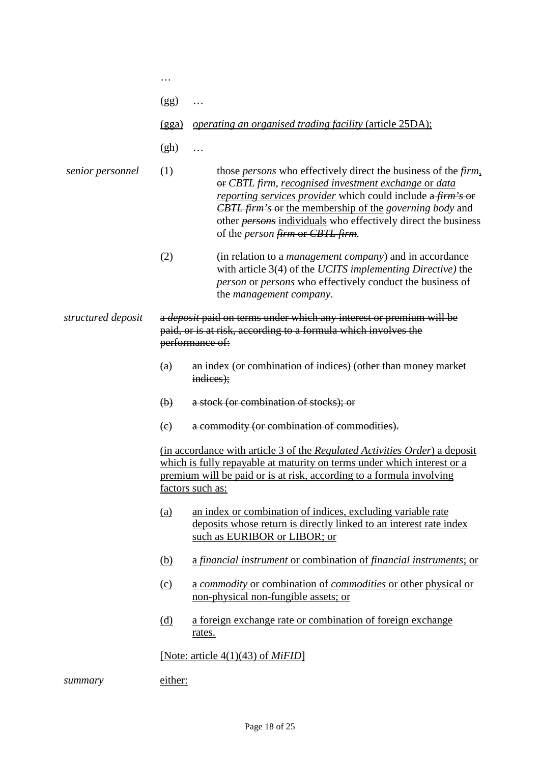|                    | .                         |                                                                                                                                                                                                                                                                                                                                                                                   |
|--------------------|---------------------------|-----------------------------------------------------------------------------------------------------------------------------------------------------------------------------------------------------------------------------------------------------------------------------------------------------------------------------------------------------------------------------------|
|                    | (gg)                      | .                                                                                                                                                                                                                                                                                                                                                                                 |
|                    | (gga)                     | <i>operating an organised trading facility (article 25DA);</i>                                                                                                                                                                                                                                                                                                                    |
|                    | (gh)                      | .                                                                                                                                                                                                                                                                                                                                                                                 |
| senior personnel   | (1)                       | those <i>persons</i> who effectively direct the business of the firm,<br>or CBTL firm, recognised investment exchange or data<br>reporting services provider which could include a firm's or<br><b>CBTL</b> firm's or the membership of the governing body and<br>other <i>persons</i> individuals who effectively direct the business<br>of the <i>person</i> firm or CBTL firm. |
|                    | (2)                       | (in relation to a <i>management company</i> ) and in accordance<br>with article 3(4) of the UCITS implementing Directive) the<br><i>person</i> or <i>persons</i> who effectively conduct the business of<br>the <i>management</i> company.                                                                                                                                        |
| structured deposit |                           | a <i>deposit</i> paid on terms under which any interest or premium will be<br>paid, or is at risk, according to a formula which involves the<br>performance of:                                                                                                                                                                                                                   |
|                    | (a)                       | an index (or combination of indices) (other than money market<br>indices);                                                                                                                                                                                                                                                                                                        |
|                    | $\left(\mathbf{b}\right)$ | a stock (or combination of stocks); or                                                                                                                                                                                                                                                                                                                                            |
|                    | (e)                       | a commodity (or combination of commodities).                                                                                                                                                                                                                                                                                                                                      |
|                    |                           | (in accordance with article 3 of the Regulated Activities Order) a deposit<br>which is fully repayable at maturity on terms under which interest or a<br>premium will be paid or is at risk, according to a formula involving<br>factors such as:                                                                                                                                 |
|                    | <u>(a)</u>                | an index or combination of indices, excluding variable rate<br>deposits whose return is directly linked to an interest rate index<br>such as EURIBOR or LIBOR; or                                                                                                                                                                                                                 |
|                    | <u>(b)</u>                | a financial instrument or combination of financial instruments; or                                                                                                                                                                                                                                                                                                                |
|                    | $\Omega$                  | a commodity or combination of commodities or other physical or<br>non-physical non-fungible assets; or                                                                                                                                                                                                                                                                            |
|                    | <u>(d)</u>                | a foreign exchange rate or combination of foreign exchange<br>rates.                                                                                                                                                                                                                                                                                                              |
|                    |                           | [Note: article $4(1)(43)$ of <i>MiFID</i> ]                                                                                                                                                                                                                                                                                                                                       |
| summary            | either:                   |                                                                                                                                                                                                                                                                                                                                                                                   |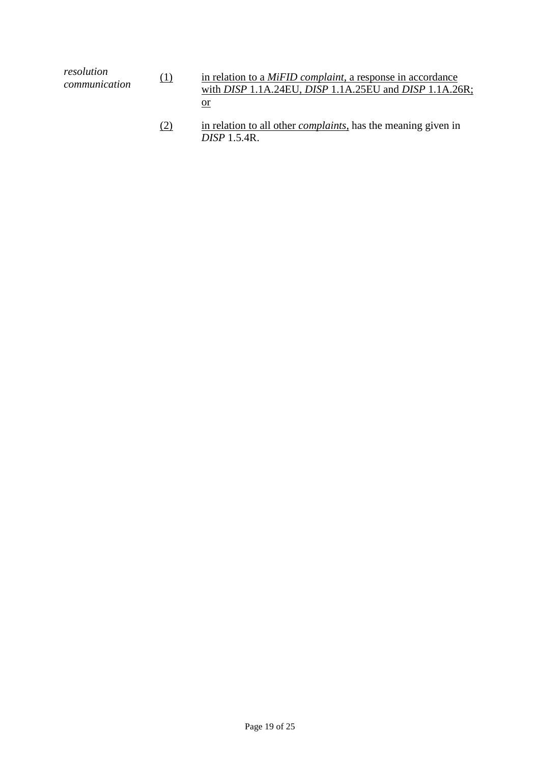| resolution    | in relation to a <i>MiFID complaint</i> , a response in accordance          |
|---------------|-----------------------------------------------------------------------------|
| (1)           | with <i>DISP</i> 1.1A.24EU, <i>DISP</i> 1.1A.25EU and <i>DISP</i> 1.1A.26R; |
| communication | or                                                                          |

(2) in relation to all other *complaints*, has the meaning given in *DISP* 1.5.4R.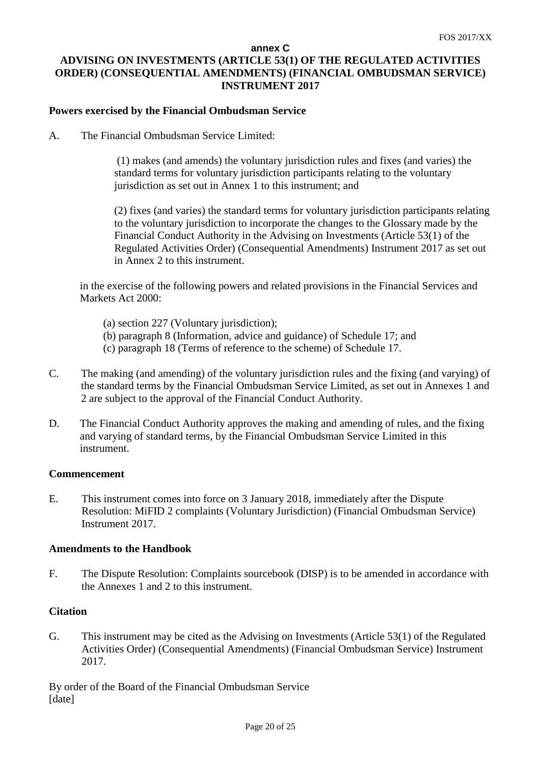### **annex C ADVISING ON INVESTMENTS (ARTICLE 53(1) OF THE REGULATED ACTIVITIES ORDER) (CONSEQUENTIAL AMENDMENTS) (FINANCIAL OMBUDSMAN SERVICE) INSTRUMENT 2017**

### **Powers exercised by the Financial Ombudsman Service**

A. The Financial Ombudsman Service Limited:

(1) makes (and amends) the voluntary jurisdiction rules and fixes (and varies) the standard terms for voluntary jurisdiction participants relating to the voluntary jurisdiction as set out in Annex 1 to this instrument; and

(2) fixes (and varies) the standard terms for voluntary jurisdiction participants relating to the voluntary jurisdiction to incorporate the changes to the Glossary made by the Financial Conduct Authority in the Advising on Investments (Article 53(1) of the Regulated Activities Order) (Consequential Amendments) Instrument 2017 as set out in Annex 2 to this instrument.

in the exercise of the following powers and related provisions in the Financial Services and Markets Act 2000:

- (a) section 227 (Voluntary jurisdiction);
- (b) paragraph 8 (Information, advice and guidance) of Schedule 17; and
- (c) paragraph 18 (Terms of reference to the scheme) of Schedule 17.
- C. The making (and amending) of the voluntary jurisdiction rules and the fixing (and varying) of the standard terms by the Financial Ombudsman Service Limited, as set out in Annexes 1 and 2 are subject to the approval of the Financial Conduct Authority.
- D. The Financial Conduct Authority approves the making and amending of rules, and the fixing and varying of standard terms, by the Financial Ombudsman Service Limited in this instrument.

### **Commencement**

E. This instrument comes into force on 3 January 2018, immediately after the Dispute Resolution: MiFID 2 complaints (Voluntary Jurisdiction) (Financial Ombudsman Service) Instrument 2017.

#### **Amendments to the Handbook**

F. The Dispute Resolution: Complaints sourcebook (DISP) is to be amended in accordance with the Annexes 1 and 2 to this instrument.

### **Citation**

G. This instrument may be cited as the Advising on Investments (Article 53(1) of the Regulated Activities Order) (Consequential Amendments) (Financial Ombudsman Service) Instrument 2017.

By order of the Board of the Financial Ombudsman Service [date]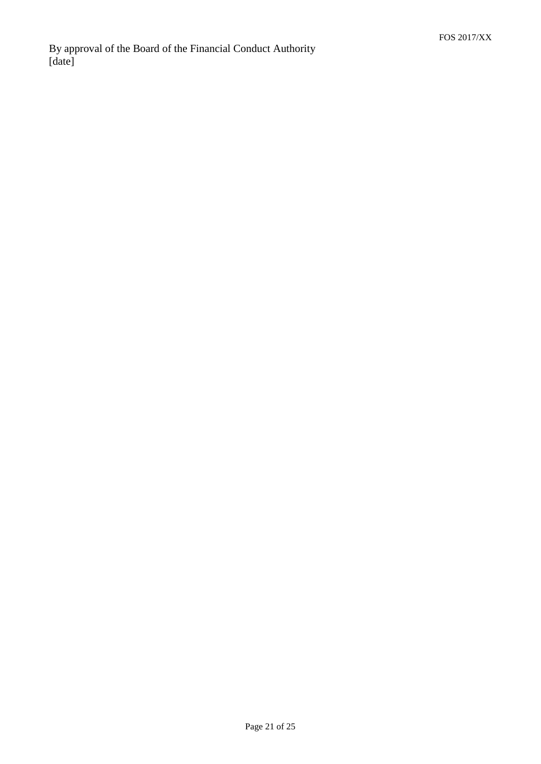By approval of the Board of the Financial Conduct Authority [date]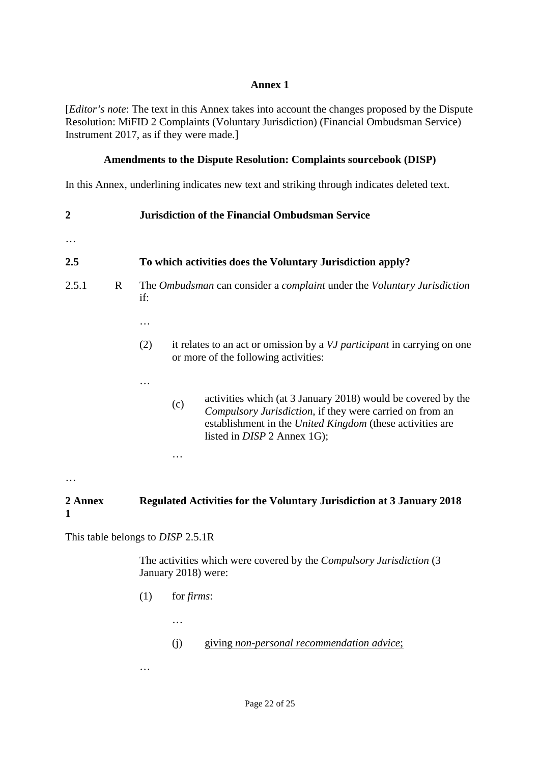[*Editor's note*: The text in this Annex takes into account the changes proposed by the Dispute Resolution: MiFID 2 Complaints (Voluntary Jurisdiction) (Financial Ombudsman Service) Instrument 2017, as if they were made.]

### **Amendments to the Dispute Resolution: Complaints sourcebook (DISP)**

In this Annex, underlining indicates new text and striking through indicates deleted text.

| 2               |   |          | <b>Jurisdiction of the Financial Ombudsman Service</b>                                                                                                                                                                      |
|-----------------|---|----------|-----------------------------------------------------------------------------------------------------------------------------------------------------------------------------------------------------------------------------|
| $\cdots$<br>2.5 |   |          | To which activities does the Voluntary Jurisdiction apply?                                                                                                                                                                  |
| 2.5.1           | R | if:<br>. | The Ombudsman can consider a <i>complaint</i> under the <i>Voluntary Jurisdiction</i>                                                                                                                                       |
|                 |   | (2)      | it relates to an act or omission by a VJ participant in carrying on one<br>or more of the following activities:                                                                                                             |
|                 |   | .<br>(c) | activities which (at 3 January 2018) would be covered by the<br>Compulsory Jurisdiction, if they were carried on from an<br>establishment in the United Kingdom (these activities are<br>listed in <i>DISP</i> 2 Annex 1G); |
|                 |   | $\cdot$  |                                                                                                                                                                                                                             |

#### **2 Annex 1 Regulated Activities for the Voluntary Jurisdiction at 3 January 2018**

This table belongs to *DISP* 2.5.1R

The activities which were covered by the *Compulsory Jurisdiction* (3 January 2018) were:

(1) for *firms*:

…

- (j) giving *non-personal recommendation advice*;
- …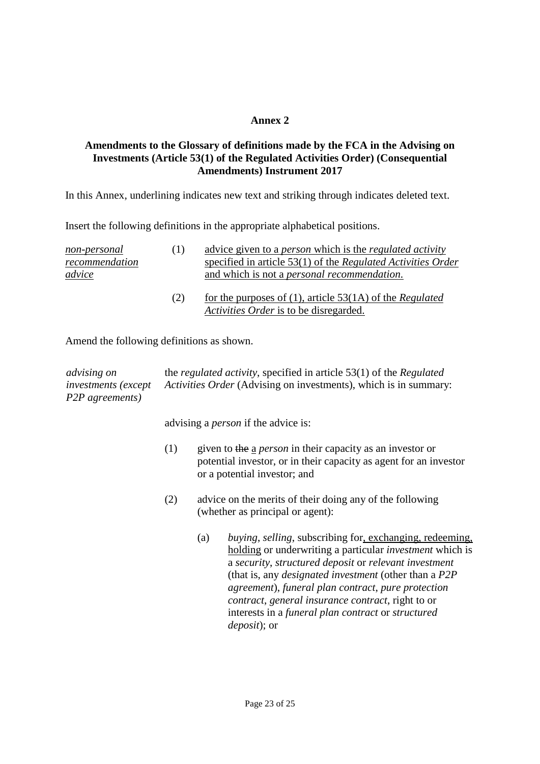### **Amendments to the Glossary of definitions made by the FCA in the Advising on Investments (Article 53(1) of the Regulated Activities Order) (Consequential Amendments) Instrument 2017**

In this Annex, underlining indicates new text and striking through indicates deleted text.

Insert the following definitions in the appropriate alphabetical positions.

| non-personal<br>recommendation | (1) | advice given to a <i>person</i> which is the <i>regulated activity</i><br>specified in article 53(1) of the Regulated Activities Order |
|--------------------------------|-----|----------------------------------------------------------------------------------------------------------------------------------------|
| advice                         |     | and which is not a <i>personal recommendation</i> .                                                                                    |
|                                | (2) | for the purposes of $(1)$ , article 53 $(1)$ of the Regulated                                                                          |

*Activities Order* is to be disregarded.

Amend the following definitions as shown.

| <i>advising on</i>                   | the <i>regulated activity</i> , specified in article $53(1)$ of the <i>Regulated</i> |
|--------------------------------------|--------------------------------------------------------------------------------------|
| <i>investments</i> ( <i>except</i> ) | <i>Activities Order</i> (Advising on investments), which is in summary:              |
| P2P agreements)                      |                                                                                      |

advising a *person* if the advice is:

- (1) given to the a *person* in their capacity as an investor or potential investor, or in their capacity as agent for an investor or a potential investor; and
- (2) advice on the merits of their doing any of the following (whether as principal or agent):
	- (a) *buying*, *selling*, subscribing for, exchanging, redeeming, holding or underwriting a particular *investment* which is a *security*, *structured deposit* or *relevant investment* (that is, any *designated investment* (other than a *P2P agreement*), *funeral plan contract*, *pure protection contract*, *general insurance contract*, right to or interests in a *funeral plan contract* or *structured deposit*); or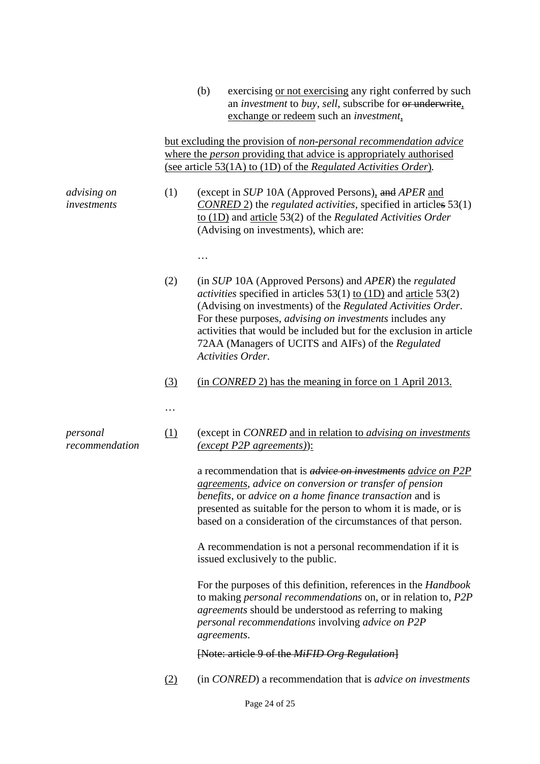|                            |                                                                                                                                                                                                                   | (b) | exercising or not exercising any right conferred by such<br>an <i>investment</i> to <i>buy</i> , <i>sell</i> , subscribe for or underwrite,<br>exchange or redeem such an <i>investment</i> ,                                                                                                                                                                                                                               |
|----------------------------|-------------------------------------------------------------------------------------------------------------------------------------------------------------------------------------------------------------------|-----|-----------------------------------------------------------------------------------------------------------------------------------------------------------------------------------------------------------------------------------------------------------------------------------------------------------------------------------------------------------------------------------------------------------------------------|
|                            | but excluding the provision of non-personal recommendation advice<br>where the <i>person</i> providing that advice is appropriately authorised<br>(see article 53(1A) to (1D) of the Regulated Activities Order). |     |                                                                                                                                                                                                                                                                                                                                                                                                                             |
| advising on<br>investments | (1)                                                                                                                                                                                                               |     | (except in SUP 10A (Approved Persons), and APER and<br>$CONFED$ 2) the <i>regulated activities</i> , specified in articles $53(1)$<br>to $(1D)$ and article 53(2) of the Regulated Activities Order<br>(Advising on investments), which are:                                                                                                                                                                                |
|                            |                                                                                                                                                                                                                   |     |                                                                                                                                                                                                                                                                                                                                                                                                                             |
|                            | (2)                                                                                                                                                                                                               |     | (in SUP 10A (Approved Persons) and APER) the regulated<br><i>activities</i> specified in articles $53(1)$ to $(1D)$ and article $53(2)$<br>(Advising on investments) of the Regulated Activities Order.<br>For these purposes, <i>advising on investments</i> includes any<br>activities that would be included but for the exclusion in article<br>72AA (Managers of UCITS and AIFs) of the Regulated<br>Activities Order. |
|                            | (3)                                                                                                                                                                                                               |     | (in CONRED 2) has the meaning in force on 1 April 2013.                                                                                                                                                                                                                                                                                                                                                                     |
|                            | .                                                                                                                                                                                                                 |     |                                                                                                                                                                                                                                                                                                                                                                                                                             |
| personal<br>recommendation | (1)                                                                                                                                                                                                               |     | (except in CONRED and in relation to <i>advising on investments</i><br>$(except P2P agreements)$ :                                                                                                                                                                                                                                                                                                                          |
|                            |                                                                                                                                                                                                                   |     | a recommendation that is <i>advice on investments advice on P2P</i><br><i>agreements, advice on conversion or transfer of pension</i><br>benefits, or advice on a home finance transaction and is<br>presented as suitable for the person to whom it is made, or is<br>based on a consideration of the circumstances of that person.                                                                                        |
|                            |                                                                                                                                                                                                                   |     | A recommendation is not a personal recommendation if it is<br>issued exclusively to the public.                                                                                                                                                                                                                                                                                                                             |
|                            |                                                                                                                                                                                                                   |     | For the purposes of this definition, references in the <i>Handbook</i><br>to making <i>personal recommendations</i> on, or in relation to, P2P<br><i>agreements</i> should be understood as referring to making<br>personal recommendations involving advice on P2P<br>agreements.                                                                                                                                          |
|                            |                                                                                                                                                                                                                   |     | [Note: article 9 of the MiFID Org Regulation]                                                                                                                                                                                                                                                                                                                                                                               |
|                            | (2)                                                                                                                                                                                                               |     | (in CONRED) a recommendation that is <i>advice on investments</i>                                                                                                                                                                                                                                                                                                                                                           |